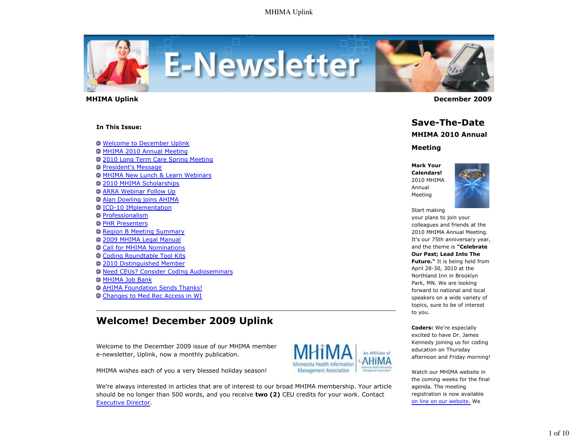

#### **In This Issue:**

Welcome to December Uplink

- MHIMA 2010 Annual Meeting
- 2010 Long Term Care Spring Meeting
- **President's Message**
- MHIMA New Lunch & Learn Webinars
- **2010 MHIMA Scholarships**
- ARRA Webinar Follow Up
- Alan Dowling joins AHIMA
- ICD-10 IMplementation
- **Professionalism**
- **O PHR Presenters**
- **Q Region B Meeting Summary**
- **2009 MHIMA Legal Manual**
- Call for MHIMA Nominations
- Coding Roundtable Tool Kits
- 2010 Distinguished Member
- Need CEUs? Consider Coding Audioseminars
- **O MHIMA Job Bank**
- **AHIMA Foundation Sends Thanks!**
- Changes to Med Rec Access in WI

# **Welcome! December 2009 Uplink**

Welcome to the December 2009 issue of our MHIMA member e-newsletter, Uplink, now a monthly publication.

MHIMA wishes each of you a very blessed holiday season!

We're always interested in articles that are of interest to our broad MHIMA membership. Your article should be no longer than 500 words, and you receive **two (2)** CEU credits for your work. Contact Executive Director.



 **MHIMA Uplink December 2009** 

# **Save-The-Date**

## **MHIMA 2010 Annual**

### **Meeting**

**Mark Your Calendars!** 2010 MHIMA Annual Meeting



Start making

your plans to join your colleagues and friends at the 2010 MHIMA Annual Meeting. It's our 75th anniversary year, and the theme is **"Celebrate Our Past; Lead Into The Future."** It is being held from April 28-30, 3010 at the Northland Inn in Brooklyn Park, MN. We are looking forward to national and local speakers on a wide variety of topics, sure to be of interest to you.

**Coders:** We're especially excited to have Dr. James Kennedy joining us for coding education on Thursday afternoon and Friday morning!

An Affiliate of

Management Association

Watch our MHIMA website in the coming weeks for the final agenda. The meeting registration is now available on line on our website. We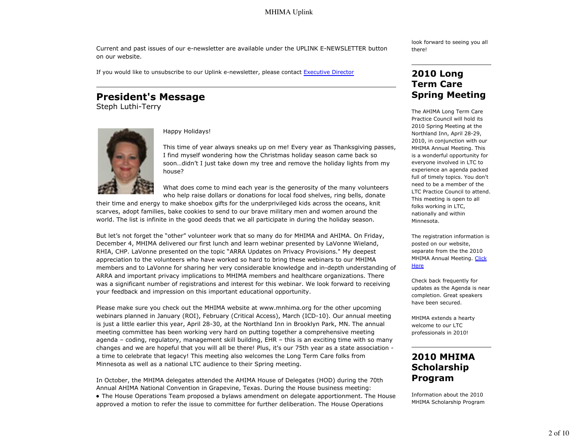Current and past issues of our e-newsletter are available under the UPLINK E-NEWSLETTER button on our website.

If you would like to unsubscribe to our Uplink e-newsletter, please contact Executive Director

# **President's Message**

Steph Luthi-Terry



### Happy Holidays!

This time of year always sneaks up on me! Every year as Thanksgiving passes, I find myself wondering how the Christmas holiday season came back so soon…didn't I just take down my tree and remove the holiday lights from my house?

What does come to mind each year is the generosity of the many volunteers who help raise dollars or donations for local food shelves, ring bells, donate

their time and energy to make shoebox gifts for the underprivileged kids across the oceans, knit scarves, adopt families, bake cookies to send to our brave military men and women around the world. The list is infinite in the good deeds that we all participate in during the holiday season.

But let's not forget the "other" volunteer work that so many do for MHIMA and AHIMA. On Friday, December 4, MHIMA delivered our first lunch and learn webinar presented by LaVonne Wieland, RHIA, CHP. LaVonne presented on the topic "ARRA Updates on Privacy Provisions." My deepest appreciation to the volunteers who have worked so hard to bring these webinars to our MHIMA members and to LaVonne for sharing her very considerable knowledge and in-depth understanding of ARRA and important privacy implications to MHIMA members and healthcare organizations. There was a significant number of registrations and interest for this webinar. We look forward to receiving your feedback and impression on this important educational opportunity.

Please make sure you check out the MHIMA website at www.mnhima.org for the other upcoming webinars planned in January (ROI), February (Critical Access), March (ICD-10). Our annual meeting is just a little earlier this year, April 28-30, at the Northland Inn in Brooklyn Park, MN. The annual meeting committee has been working very hard on putting together a comprehensive meeting agenda – coding, regulatory, management skill building, EHR – this is an exciting time with so many changes and we are hopeful that you will all be there! Plus, it's our 75th year as a state association a time to celebrate that legacy! This meeting also welcomes the Long Term Care folks from Minnesota as well as a national LTC audience to their Spring meeting.

In October, the MHIMA delegates attended the AHIMA House of Delegates (HOD) during the 70th Annual AHIMA National Convention in Grapevine, Texas. During the House business meeting: The House Operations Team proposed a bylaws amendment on delegate apportionment. The House approved a motion to refer the issue to committee for further deliberation. The House Operations

look forward to seeing you all there!

# **2010 Long Term Care Spring Meeting**

The AHIMA Long Term Care Practice Council will hold its 2010 Spring Meeting at the Northland Inn, April 28-29, 2010, in conjunction with our MHIMA Annual Meeting. This is a wonderful opportunity for everyone involved in LTC to experience an agenda packed full of timely topics. You don't need to be a member of the LTC Practice Council to attend. This meeting is open to all folks working in LTC, nationally and within Minnesota.

The registration information is posted on our website, separate from the the 2010 MHIMA Annual Meeting. Click **Here** 

Check back frequently for updates as the Agenda is near completion. Great speakers have been secured.

MHIMA extends a hearty welcome to our LTC professionals in 2010!

## **2010 MHIMA Scholarship Program**

Information about the 2010 MHIMA Scholarship Program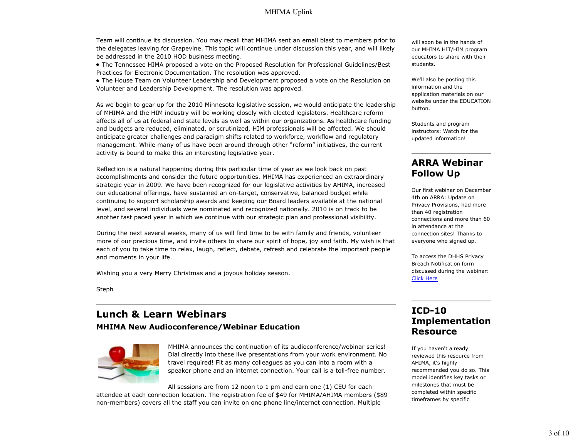Team will continue its discussion. You may recall that MHIMA sent an email blast to members prior to the delegates leaving for Grapevine. This topic will continue under discussion this year, and will likely be addressed in the 2010 HOD business meeting.

The Tennessee HIMA proposed a vote on the Proposed Resolution for Professional Guidelines/Best Practices for Electronic Documentation. The resolution was approved.

The House Team on Volunteer Leadership and Development proposed a vote on the Resolution on Volunteer and Leadership Development. The resolution was approved.

As we begin to gear up for the 2010 Minnesota legislative session, we would anticipate the leadership of MHIMA and the HIM industry will be working closely with elected legislators. Healthcare reform affects all of us at federal and state levels as well as within our organizations. As healthcare funding and budgets are reduced, eliminated, or scrutinized, HIM professionals will be affected. We should anticipate greater challenges and paradigm shifts related to workforce, workflow and regulatory management. While many of us have been around through other "reform" initiatives, the current activity is bound to make this an interesting legislative year.

Reflection is a natural happening during this particular time of year as we look back on past accomplishments and consider the future opportunities. MHIMA has experienced an extraordinary strategic year in 2009. We have been recognized for our legislative activities by AHIMA, increased our educational offerings, have sustained an on-target, conservative, balanced budget while continuing to support scholarship awards and keeping our Board leaders available at the national level, and several individuals were nominated and recognized nationally. 2010 is on track to be another fast paced year in which we continue with our strategic plan and professional visibility.

During the next several weeks, many of us will find time to be with family and friends, volunteer more of our precious time, and invite others to share our spirit of hope, joy and faith. My wish is that each of you to take time to relax, laugh, reflect, debate, refresh and celebrate the important people and moments in your life.

Wishing you a very Merry Christmas and a joyous holiday season.

Steph

# **Lunch & Learn Webinars**

**MHIMA New Audioconference/Webinar Education**



MHIMA announces the continuation of its audioconference/webinar series! Dial directly into these live presentations from your work environment. No travel required! Fit as many colleagues as you can into a room with a speaker phone and an internet connection. Your call is a toll-free number.

All sessions are from 12 noon to 1 pm and earn one (1) CEU for each

attendee at each connection location. The registration fee of \$49 for MHIMA/AHIMA members (\$89 non-members) covers all the staff you can invite on one phone line/internet connection. Multiple

will soon be in the hands of our MHIMA HIT/HIM program educators to share with their students.

We'll also be posting this information and the application materials on our website under the EDUCATION button.

Students and program instructors: Watch for the updated information!

## **ARRA Webinar Follow Up**

Our first webinar on December 4th on ARRA: Update on Privacy Provisions, had more than 40 registration connections and more than 60 in attendance at the connection sites! Thanks to everyone who signed up.

To access the DHHS Privacy Breach Notification form discussed during the webinar: Click Here

# **ICD-10 Implementation Resource**

If you haven't already reviewed this resource from AHIMA, it's highly recommended you do so. This model identifies key tasks or milestones that must be completed within specific timeframes by specific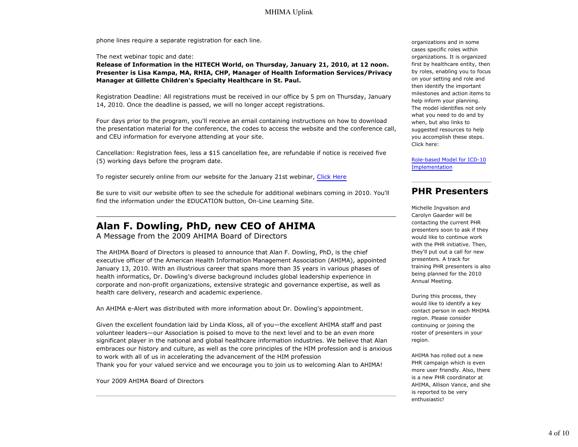phone lines require a separate registration for each line.

#### The next webinar topic and date:

**Release of Information in the HITECH World, on Thursday, January 21, 2010, at 12 noon. Presenter is Lisa Kampa, MA, RHIA, CHP, Manager of Health Information Services/Privacy Manager at Gillette Children's Specialty Healthcare in St. Paul.**

Registration Deadline: All registrations must be received in our office by 5 pm on Thursday, January 14, 2010. Once the deadline is passed, we will no longer accept registrations.

Four days prior to the program, you'll receive an email containing instructions on how to download the presentation material for the conference, the codes to access the website and the conference call, and CEU information for everyone attending at your site.

Cancellation: Registration fees, less a \$15 cancellation fee, are refundable if notice is received five (5) working days before the program date.

To register securely online from our website for the January 21st webinar, Click Here

Be sure to visit our website often to see the schedule for additional webinars coming in 2010. You'll find the information under the EDUCATION button, On-Line Learning Site.

# **Alan F. Dowling, PhD, new CEO of AHIMA**

A Message from the 2009 AHIMA Board of Directors

The AHIMA Board of Directors is pleased to announce that Alan F. Dowling, PhD, is the chief executive officer of the American Health Information Management Association (AHIMA), appointed January 13, 2010. With an illustrious career that spans more than 35 years in various phases of health informatics, Dr. Dowling's diverse background includes global leadership experience in corporate and non-profit organizations, extensive strategic and governance expertise, as well as health care delivery, research and academic experience.

An AHIMA e-Alert was distributed with more information about Dr. Dowling's appointment.

Given the excellent foundation laid by Linda Kloss, all of you—the excellent AHIMA staff and past volunteer leaders—our Association is poised to move to the next level and to be an even more significant player in the national and global healthcare information industries. We believe that Alan embraces our history and culture, as well as the core principles of the HIM profession and is anxious to work with all of us in accelerating the advancement of the HIM profession Thank you for your valued service and we encourage you to join us to welcoming Alan to AHIMA!

Your 2009 AHIMA Board of Directors

organizations and in some cases specific roles within organizations. It is organized first by healthcare entity, then by roles, enabling you to focus on your setting and role and then identify the important milestones and action items to help inform your planning. The model identifies not only what you need to do and by when, but also links to suggested resources to help you accomplish these steps. Click here:

Role-based Model for ICD-10 Implementation

## **PHR Presenters**

Michelle Ingvalson and Carolyn Gaarder will be contacting the current PHR presenters soon to ask if they would like to continue work with the PHR initiative. Then, they'll put out a call for new presenters. A track for training PHR presenters is also being planned for the 2010 Annual Meeting.

During this process, they would like to identify a key contact person in each MHIMA region. Please consider continuing or joining the roster of presenters in your region.

AHIMA has rolled out a new PHR campaign which is even more user friendly. Also, there is a new PHR coordinator at AHIMA, Allison Vance, and she is reported to be very enthusiastic!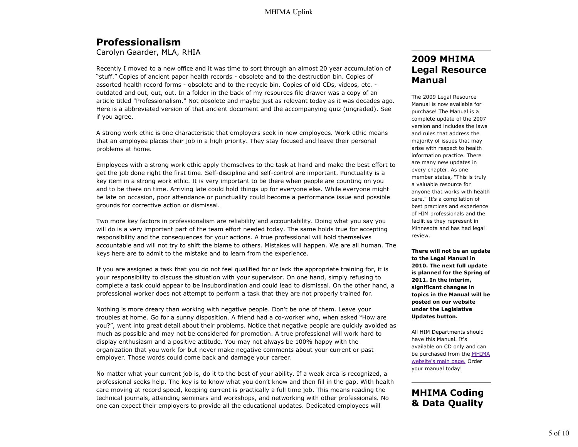# **Professionalism**

Carolyn Gaarder, MLA, RHIA

Recently I moved to a new office and it was time to sort through an almost 20 year accumulation of "stuff." Copies of ancient paper health records - obsolete and to the destruction bin. Copies of assorted health record forms - obsolete and to the recycle bin. Copies of old CDs, videos, etc. outdated and out, out, out. In a folder in the back of my resources file drawer was a copy of an article titled "Professionalism." Not obsolete and maybe just as relevant today as it was decades ago. Here is a abbreviated version of that ancient document and the accompanying quiz (ungraded). See if you agree.

A strong work ethic is one characteristic that employers seek in new employees. Work ethic means that an employee places their job in a high priority. They stay focused and leave their personal problems at home.

Employees with a strong work ethic apply themselves to the task at hand and make the best effort to get the job done right the first time. Self-discipline and self-control are important. Punctuality is a key item in a strong work ethic. It is very important to be there when people are counting on you and to be there on time. Arriving late could hold things up for everyone else. While everyone might be late on occasion, poor attendance or punctuality could become a performance issue and possible grounds for corrective action or dismissal.

Two more key factors in professionalism are reliability and accountability. Doing what you say you will do is a very important part of the team effort needed today. The same holds true for accepting responsibility and the consequences for your actions. A true professional will hold themselves accountable and will not try to shift the blame to others. Mistakes will happen. We are all human. The keys here are to admit to the mistake and to learn from the experience.

If you are assigned a task that you do not feel qualified for or lack the appropriate training for, it is your responsibility to discuss the situation with your supervisor. On one hand, simply refusing to complete a task could appear to be insubordination and could lead to dismissal. On the other hand, a professional worker does not attempt to perform a task that they are not properly trained for.

Nothing is more dreary than working with negative people. Don't be one of them. Leave your troubles at home. Go for a sunny disposition. A friend had a co-worker who, when asked "How are you?", went into great detail about their problems. Notice that negative people are quickly avoided as much as possible and may not be considered for promotion. A true professional will work hard to display enthusiasm and a positive attitude. You may not always be 100% happy with the organization that you work for but never make negative comments about your current or past employer. Those words could come back and damage your career.

No matter what your current job is, do it to the best of your ability. If a weak area is recognized, a professional seeks help. The key is to know what you don't know and then fill in the gap. With health care moving at record speed, keeping current is practically a full time job. This means reading the technical journals, attending seminars and workshops, and networking with other professionals. No one can expect their employers to provide all the educational updates. Dedicated employees will

## **2009 MHIMA Legal Resource Manual**

The 2009 Legal Resource Manual is now available for purchase! The Manual is a complete update of the 2007 version and includes the laws and rules that address the majority of issues that may arise with respect to health information practice. There are many new updates in every chapter. As one member states, "This is truly a valuable resource for anyone that works with health care." It's a compilation of best practices and experience of HIM professionals and the facilities they represent in Minnesota and has had legal review.

**There will not be an update to the Legal Manual in 2010. The next full update is planned for the Spring of 2011. In the interim, significant changes in topics in the Manual will be posted on our website under the Legislative Updates button.**

All HIM Departments should have this Manual. It's available on CD only and can be purchased from the MHIMA website's main page. Order your manual today!

# **MHIMA Coding & Data Quality**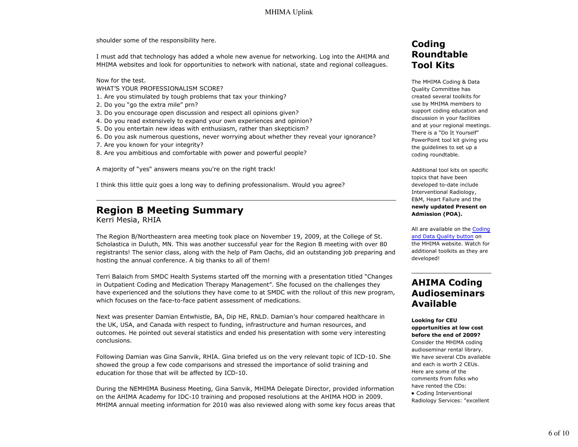shoulder some of the responsibility here.

I must add that technology has added a whole new avenue for networking. Log into the AHIMA and MHIMA websites and look for opportunities to network with national, state and regional colleagues.

Now for the test.

- WHAT'S YOUR PROFESSIONALISM SCORE?
- 1. Are you stimulated by tough problems that tax your thinking?
- 2. Do you "go the extra mile" prn?
- 3. Do you encourage open discussion and respect all opinions given?
- 4. Do you read extensively to expand your own experiences and opinion?
- 5. Do you entertain new ideas with enthusiasm, rather than skepticism?
- 6. Do you ask numerous questions, never worrying about whether they reveal your ignorance?
- 7. Are you known for your integrity?
- 8. Are you ambitious and comfortable with power and powerful people?

A majority of "yes" answers means you're on the right track!

I think this little quiz goes a long way to defining professionalism. Would you agree?

# **Region B Meeting Summary**

Kerri Mesia, RHIA

The Region B/Northeastern area meeting took place on November 19, 2009, at the College of St. Scholastica in Duluth, MN. This was another successful year for the Region B meeting with over 80 registrants! The senior class, along with the help of Pam Oachs, did an outstanding job preparing and hosting the annual conference. A big thanks to all of them!

Terri Balaich from SMDC Health Systems started off the morning with a presentation titled "Changes in Outpatient Coding and Medication Therapy Management". She focused on the challenges they have experienced and the solutions they have come to at SMDC with the rollout of this new program, which focuses on the face-to-face patient assessment of medications.

Next was presenter Damian Entwhistle, BA, Dip HE, RNLD. Damian's hour compared healthcare in the UK, USA, and Canada with respect to funding, infrastructure and human resources, and outcomes. He pointed out several statistics and ended his presentation with some very interesting conclusions.

Following Damian was Gina Sanvik, RHIA. Gina briefed us on the very relevant topic of ICD-10. She showed the group a few code comparisons and stressed the importance of solid training and education for those that will be affected by ICD-10.

During the NEMHIMA Business Meeting, Gina Sanvik, MHIMA Delegate Director, provided information on the AHIMA Academy for IDC-10 training and proposed resolutions at the AHIMA HOD in 2009. MHIMA annual meeting information for 2010 was also reviewed along with some key focus areas that

# **Coding Roundtable Tool Kits**

The MHIMA Coding & Data Quality Committee has created several toolkits for use by MHIMA members to support coding education and discussion in your facilities and at your regional meetings. There is a "Do It Yourself" PowerPoint tool kit giving you the guidelines to set up a coding roundtable.

Additional tool kits on specific topics that have been developed to-date include Interventional Radiology, E&M, Heart Failure and the **newly updated Present on Admission (POA).**

All are available on the Coding and Data Quality button on the MHIMA website. Watch for additional toolkits as they are developed!

# **AHIMA Coding Audioseminars Available**

**Looking for CEU opportunities at low cost before the end of 2009?** Consider the MHIMA coding audioseminar rental library. We have several CDs available and each is worth 2 CEUs. Here are some of the comments from folks who have rented the CDs:

Coding Interventional Radiology Services: "excellent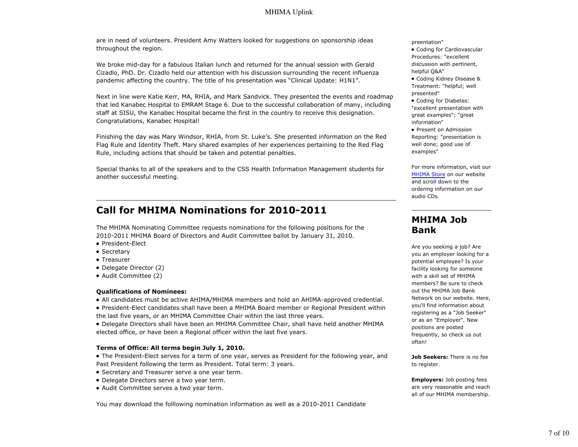are in need of volunteers. President Amy Watters looked for suggestions on sponsorship ideas throughout the region.

We broke mid-day for a fabulous Italian lunch and returned for the annual session with Gerald Cizadlo, PhD. Dr. Cizadlo held our attention with his discussion surrounding the recent influenza pandemic affecting the country. The title of his presentation was "Clinical Update: H1N1".

Next in line were Katie Kerr, MA, RHIA, and Mark Sandvick. They presented the events and roadmap that led Kanabec Hospital to EMRAM Stage 6. Due to the successful collaboration of many, including staff at SISU, the Kanabec Hospital became the first in the country to receive this designation. Congratulations, Kanabec Hospital!

Finishing the day was Mary Windsor, RHIA, from St. Luke's. She presented information on the Red Flag Rule and Identity Theft. Mary shared examples of her experiences pertaining to the Red Flag Rule, including actions that should be taken and potential penalties.

Special thanks to all of the speakers and to the CSS Health Information Management students for another successful meeting.

# **Call for MHIMA Nominations for 2010-2011**

The MHIMA Nominating Committee requests nominations for the following positions for the 2010-2011 MHIMA Board of Directors and Audit Committee ballot by January 31, 2010.

- President-Elect
- Secretary
- Treasurer
- Delegate Director (2)
- Audit Committee (2)

#### **Qualifications of Nominees:**

- All candidates must be active AHIMA/MHIMA members and hold an AHIMA-approved credential.
- President-Elect candidates shall have been a MHIMA Board member or Regional President within
- the last five years, or an MHIMA Committee Chair within the last three years.
- Delegate Directors shall have been an MHIMA Committee Chair, shall have held another MHIMA elected office, or have been a Regional officer within the last five years.

#### **Terms of Office: All terms begin July 1, 2010.**

The President-Elect serves for a term of one year, serves as President for the following year, and Past President following the term as President. Total term: 3 years.

- Secretary and Treasurer serve a one year term.
- Delegate Directors serve a two year term.
- Audit Committee serves a two year term.

You may download the folllowing nomination information as well as a 2010-2011 Candidate

preentation"

- Coding for Cardiovascular Procedures: "excellent discussion with pertinent, helpful Q&A"
- Coding Kidney Disease & Treatment: "helpful; well presented"
- Coding for Diabetes: "excellent presentation with great examples"; "great information"
- Present on Admission Reporting: "presentation is well done; good use of examples"

For more information, visit our MHIMA Store on our website and scroll down to the ordering information on our audio CDs.

## **MHIMA Job Bank**

Are you seeking a job? Are you an employer looking for a potential employee? Is your facility looking for someone with a skill set of MHIMA members? Be sure to check out the MHIMA Job Bank Network on our website. Here, you'll find information about registering as a "Job Seeker" or as an "Employer". New positions are posted frequently, so check us out often!

**Job Seekers:** There is no fee to register.

**Employers:** Job posting fees are very reasonable and reach all of our MHIMA membership.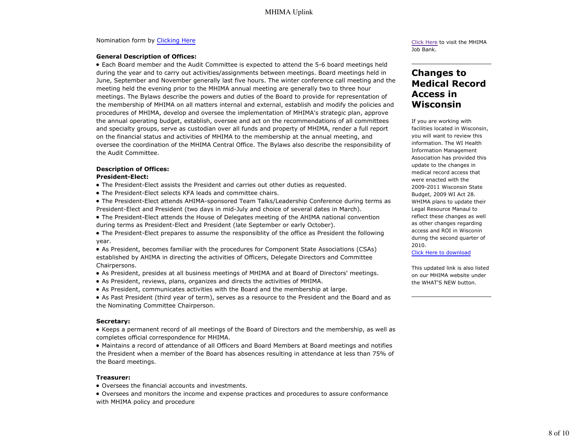### Nomination form by Clicking Here

#### **General Description of Offices:**

Each Board member and the Audit Committee is expected to attend the 5-6 board meetings held during the year and to carry out activities/assignments between meetings. Board meetings held in June, September and November generally last five hours. The winter conference call meeting and the meeting held the evening prior to the MHIMA annual meeting are generally two to three hour meetings. The Bylaws describe the powers and duties of the Board to provide for representation of the membership of MHIMA on all matters internal and external, establish and modify the policies and procedures of MHIMA, develop and oversee the implementation of MHIMA's strategic plan, approve the annual operating budget, establish, oversee and act on the recommendations of all committees and specialty groups, serve as custodian over all funds and property of MHIMA, render a full report on the financial status and activities of MHIMA to the membership at the annual meeting, and oversee the coordination of the MHIMA Central Office. The Bylaws also describe the responsibility of the Audit Committee.

### **Description of Offices:**

#### **President-Elect:**

- The President-Elect assists the President and carries out other duties as requested.
- The President-Elect selects KFA leads and committee chairs.
- The President-Elect attends AHIMA-sponsored Team Talks/Leadership Conference during terms as President-Elect and President (two days in mid-July and choice of several dates in March).
- The President-Elect attends the House of Delegates meeting of the AHIMA national convention during terms as President-Elect and President (late September or early October).
- The President-Elect prepares to assume the responsiblity of the office as President the following year.

As President, becomes familiar with the procedures for Component State Associations (CSAs) established by AHIMA in directing the activities of Officers, Delegate Directors and Committee Chairpersons.

- As President, presides at all business meetings of MHIMA and at Board of Directors' meetings.
- As President, reviews, plans, organizes and directs the activities of MHIMA.
- As President, communicates activities with the Board and the membership at large.
- As Past President (third year of term), serves as a resource to the President and the Board and as the Nominating Committee Chairperson.

### **Secretary:**

Keeps a permanent record of all meetings of the Board of Directors and the membership, as well as completes official correspondence for MHIMA.

Maintains a record of attendance of all Officers and Board Members at Board meetings and notifies the President when a member of the Board has absences resulting in attendance at less than 75% of the Board meetings.

### **Treasurer:**

Oversees the financial accounts and investments.

Oversees and monitors the income and expense practices and procedures to assure conformance with MHIMA policy and procedure

Click Here to visit the MHIMA Job Bank.

# **Changes to Medical Record Access in Wisconsin**

If you are working with facilities located in Wisconsin, you will want to review this information. The WI Health Information Management Association has provided this update to the changes in medical record access that were enacted with the 2009-2011 Wisconsin State Budget, 2009 WI Act 28. WHIMA plans to update their Legal Resource Manaul to reflect these changes as well as other changes regarding access and ROI in Wisconin during the second quarter of 2010.

Click Here to download

This updated link is also listed on our MHIMA website under the WHAT'S NEW button.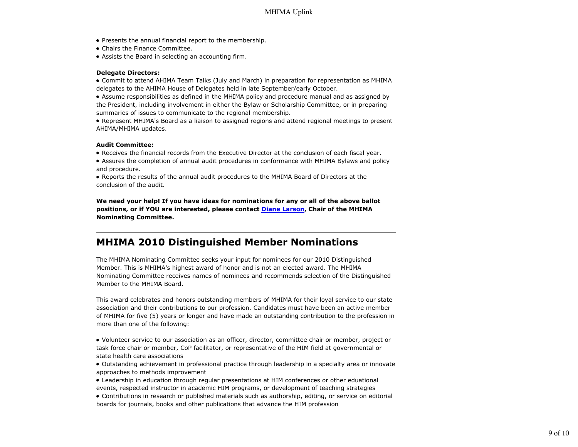- Presents the annual financial report to the membership.
- Chairs the Finance Committee.
- Assists the Board in selecting an accounting firm.

#### **Delegate Directors:**

Commit to attend AHIMA Team Talks (July and March) in preparation for representation as MHIMA delegates to the AHIMA House of Delegates held in late September/early October.

Assume responsibilities as defined in the MHIMA policy and procedure manual and as assigned by the President, including involvement in either the Bylaw or Scholarship Committee, or in preparing summaries of issues to communicate to the regional membership.

Represent MHIMA's Board as a liaison to assigned regions and attend regional meetings to present AHIMA/MHIMA updates.

#### **Audit Committee:**

- Receives the financial records from the Executive Director at the conclusion of each fiscal year.
- Assures the completion of annual audit procedures in conformance with MHIMA Bylaws and policy and procedure.
- Reports the results of the annual audit procedures to the MHIMA Board of Directors at the conclusion of the audit.

**We need your help! If you have ideas for nominations for any or all of the above ballot positions, or if YOU are interested, please contact Diane Larson, Chair of the MHIMA Nominating Committee.**

# **MHIMA 2010 Distinguished Member Nominations**

The MHIMA Nominating Committee seeks your input for nominees for our 2010 Distinguished Member. This is MHIMA's highest award of honor and is not an elected award. The MHIMA Nominating Committee receives names of nominees and recommends selection of the Distinguished Member to the MHIMA Board.

This award celebrates and honors outstanding members of MHIMA for their loyal service to our state association and their contributions to our profession. Candidates must have been an active member of MHIMA for five (5) years or longer and have made an outstanding contribution to the profession in more than one of the following:

Volunteer service to our association as an officer, director, committee chair or member, project or task force chair or member, CoP facilitator, or representative of the HIM field at governmental or state health care associations

Outstanding achievement in professional practice through leadership in a specialty area or innovate approaches to methods improvement

Leadership in education through regular presentations at HIM conferences or other eduational events, respected instructor in academic HIM programs, or development of teaching strategies

Contributions in research or published materials such as authorship, editing, or service on editorial boards for journals, books and other publications that advance the HIM profession